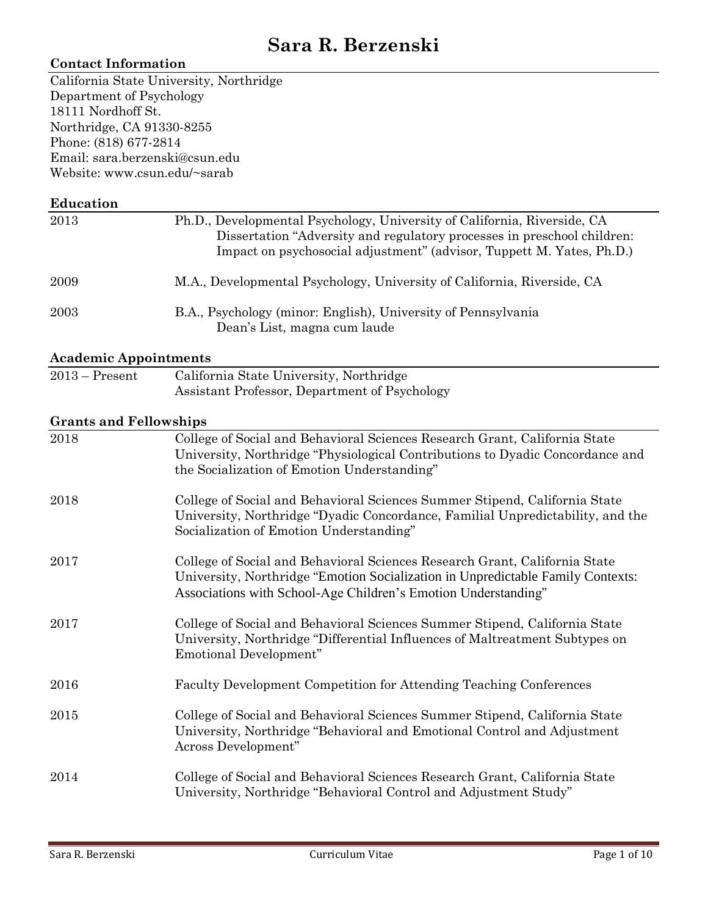# **Sara R. Berzenski**

# **Contact Information**

California State University, Northridge Department of Psychology 18111 Nordhoff St. Northridge, CA 91330-8255 Phone: (818) 677-2814 Email: sara.berzenski@csun.edu Website: www.csun.edu/~sarab

#### **Education**

| 2013 | Ph.D., Developmental Psychology, University of California, Riverside, CA<br>Dissertation "Adversity and regulatory processes in preschool children:<br>Impact on psychosocial adjustment" (advisor, Tuppett M. Yates, Ph.D.) |
|------|------------------------------------------------------------------------------------------------------------------------------------------------------------------------------------------------------------------------------|
| 2009 | M.A., Developmental Psychology, University of California, Riverside, CA                                                                                                                                                      |
| 2003 | B.A., Psychology (minor: English), University of Pennsylvania<br>Dean's List, magna cum laude                                                                                                                                |

# **Academic Appointments**

| $2013 -$ Present | California State University, Northridge       |
|------------------|-----------------------------------------------|
|                  | Assistant Professor, Department of Psychology |

# **Grants and Fellowships**

| 2018 | College of Social and Behavioral Sciences Research Grant, California State<br>University, Northridge "Physiological Contributions to Dyadic Concordance and<br>the Socialization of Emotion Understanding"                      |
|------|---------------------------------------------------------------------------------------------------------------------------------------------------------------------------------------------------------------------------------|
| 2018 | College of Social and Behavioral Sciences Summer Stipend, California State<br>University, Northridge "Dyadic Concordance, Familial Unpredictability, and the<br>Socialization of Emotion Understanding"                         |
| 2017 | College of Social and Behavioral Sciences Research Grant, California State<br>University, Northridge "Emotion Socialization in Unpredictable Family Contexts:<br>Associations with School-Age Children's Emotion Understanding" |
| 2017 | College of Social and Behavioral Sciences Summer Stipend, California State<br>University, Northridge "Differential Influences of Maltreatment Subtypes on<br>Emotional Development"                                             |
| 2016 | Faculty Development Competition for Attending Teaching Conferences                                                                                                                                                              |
| 2015 | College of Social and Behavioral Sciences Summer Stipend, California State<br>University, Northridge "Behavioral and Emotional Control and Adjustment<br>Across Development"                                                    |
| 2014 | College of Social and Behavioral Sciences Research Grant, California State<br>University, Northridge "Behavioral Control and Adjustment Study"                                                                                  |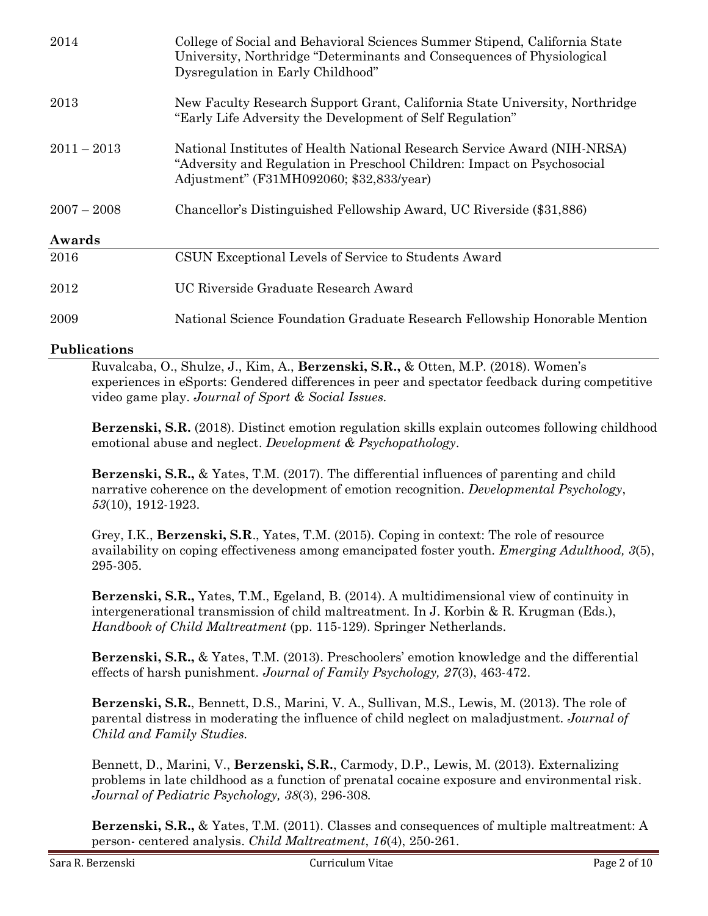| 2014          | College of Social and Behavioral Sciences Summer Stipend, California State<br>University, Northridge "Determinants and Consequences of Physiological<br>Dysregulation in Early Childhood"       |
|---------------|-------------------------------------------------------------------------------------------------------------------------------------------------------------------------------------------------|
| 2013          | New Faculty Research Support Grant, California State University, Northridge<br>"Early Life Adversity the Development of Self Regulation"                                                        |
| $2011 - 2013$ | National Institutes of Health National Research Service Award (NIH-NRSA)<br>"Adversity and Regulation in Preschool Children: Impact on Psychosocial<br>Adjustment" (F31MH092060; \$32,833/year) |
| $2007 - 2008$ | Chancellor's Distinguished Fellowship Award, UC Riverside (\$31,886)                                                                                                                            |
| Awards        |                                                                                                                                                                                                 |
| 2016          | CSUN Exceptional Levels of Service to Students Award                                                                                                                                            |
| 2012          | UC Riverside Graduate Research Award                                                                                                                                                            |
| 2009          | National Science Foundation Graduate Research Fellowship Honorable Mention                                                                                                                      |
|               |                                                                                                                                                                                                 |

# **Publications**

Ruvalcaba, O., Shulze, J., Kim, A., **Berzenski, S.R.,** & Otten, M.P. (2018). Women's experiences in eSports: Gendered differences in peer and spectator feedback during competitive video game play. *Journal of Sport & Social Issues.* 

**Berzenski, S.R.** (2018). Distinct emotion regulation skills explain outcomes following childhood emotional abuse and neglect. *Development & Psychopathology*.

**Berzenski, S.R.,** & Yates, T.M. (2017). The differential influences of parenting and child narrative coherence on the development of emotion recognition. *Developmental Psychology*, *53*(10), 1912-1923.

Grey, I.K., **Berzenski, S.R**., Yates, T.M. (2015). Coping in context: The role of resource availability on coping effectiveness among emancipated foster youth. *Emerging Adulthood, 3*(5), 295-305.

**Berzenski, S.R.,** Yates, T.M., Egeland, B. (2014). A multidimensional view of continuity in intergenerational transmission of child maltreatment. In J. Korbin & R. Krugman (Eds.), *Handbook of Child Maltreatment* (pp. 115-129). Springer Netherlands.

**Berzenski, S.R.,** & Yates, T.M. (2013). Preschoolers' emotion knowledge and the differential effects of harsh punishment. *Journal of Family Psychology, 27*(3), 463-472.

**Berzenski, S.R.**, Bennett, D.S., Marini, V. A., Sullivan, M.S., Lewis, M. (2013). The role of parental distress in moderating the influence of child neglect on maladjustment. *Journal of Child and Family Studies.*

Bennett, D., Marini, V., **Berzenski, S.R.**, Carmody, D.P., Lewis, M. (2013). Externalizing problems in late childhood as a function of prenatal cocaine exposure and environmental risk. *Journal of Pediatric Psychology, 38*(3), 296-308*.*

**Berzenski, S.R.,** & Yates, T.M. (2011). Classes and consequences of multiple maltreatment: A person- centered analysis. *Child Maltreatment*, *16*(4), 250-261.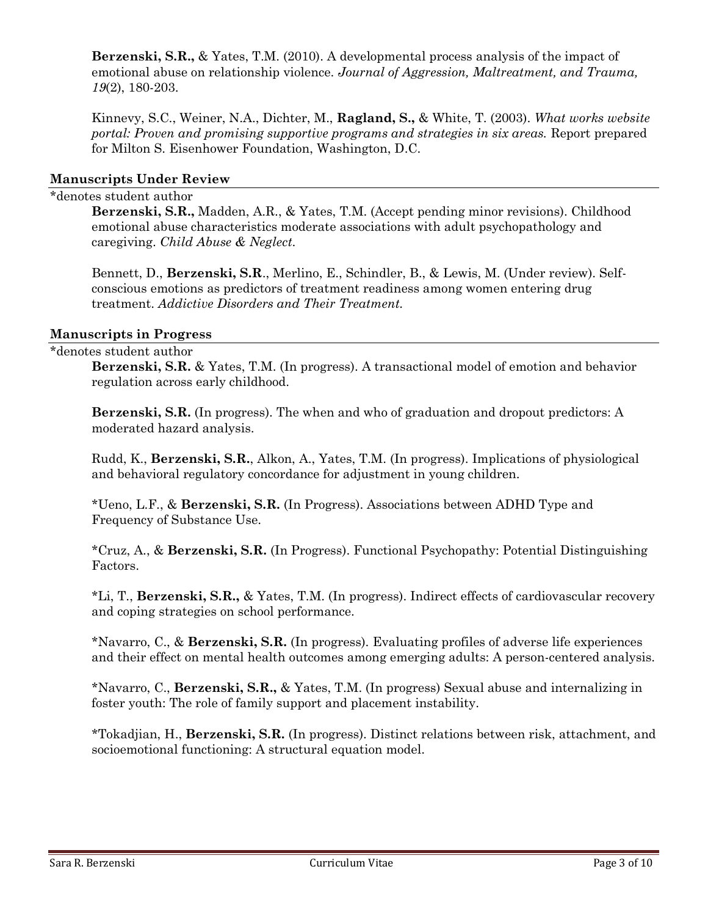**Berzenski, S.R.,** & Yates, T.M. (2010). A developmental process analysis of the impact of emotional abuse on relationship violence. *Journal of Aggression, Maltreatment, and Trauma, 19*(2), 180-203.

Kinnevy, S.C., Weiner, N.A., Dichter, M., **Ragland, S.,** & White, T. (2003). *What works website portal: Proven and promising supportive programs and strategies in six areas.* Report prepared for Milton S. Eisenhower Foundation, Washington, D.C.

#### **Manuscripts Under Review**

#### \*denotes student author

**Berzenski, S.R.,** Madden, A.R., & Yates, T.M. (Accept pending minor revisions). Childhood emotional abuse characteristics moderate associations with adult psychopathology and caregiving. *Child Abuse & Neglect*.

Bennett, D., **Berzenski, S.R**., Merlino, E., Schindler, B., & Lewis, M. (Under review). Selfconscious emotions as predictors of treatment readiness among women entering drug treatment. *Addictive Disorders and Their Treatment.*

#### **Manuscripts in Progress**

#### \*denotes student author

**Berzenski, S.R.** & Yates, T.M. (In progress). A transactional model of emotion and behavior regulation across early childhood.

**Berzenski, S.R.** (In progress). The when and who of graduation and dropout predictors: A moderated hazard analysis.

Rudd, K., **Berzenski, S.R.**, Alkon, A., Yates, T.M. (In progress). Implications of physiological and behavioral regulatory concordance for adjustment in young children.

\*Ueno, L.F., & **Berzenski, S.R.** (In Progress). Associations between ADHD Type and Frequency of Substance Use.

\*Cruz, A., & **Berzenski, S.R.** (In Progress). Functional Psychopathy: Potential Distinguishing Factors.

\*Li, T., **Berzenski, S.R.,** & Yates, T.M. (In progress). Indirect effects of cardiovascular recovery and coping strategies on school performance.

\*Navarro, C., & **Berzenski, S.R.** (In progress). Evaluating profiles of adverse life experiences and their effect on mental health outcomes among emerging adults: A person-centered analysis.

\*Navarro, C., **Berzenski, S.R.,** & Yates, T.M. (In progress) Sexual abuse and internalizing in foster youth: The role of family support and placement instability.

\*Tokadjian, H., **Berzenski, S.R.** (In progress). Distinct relations between risk, attachment, and socioemotional functioning: A structural equation model.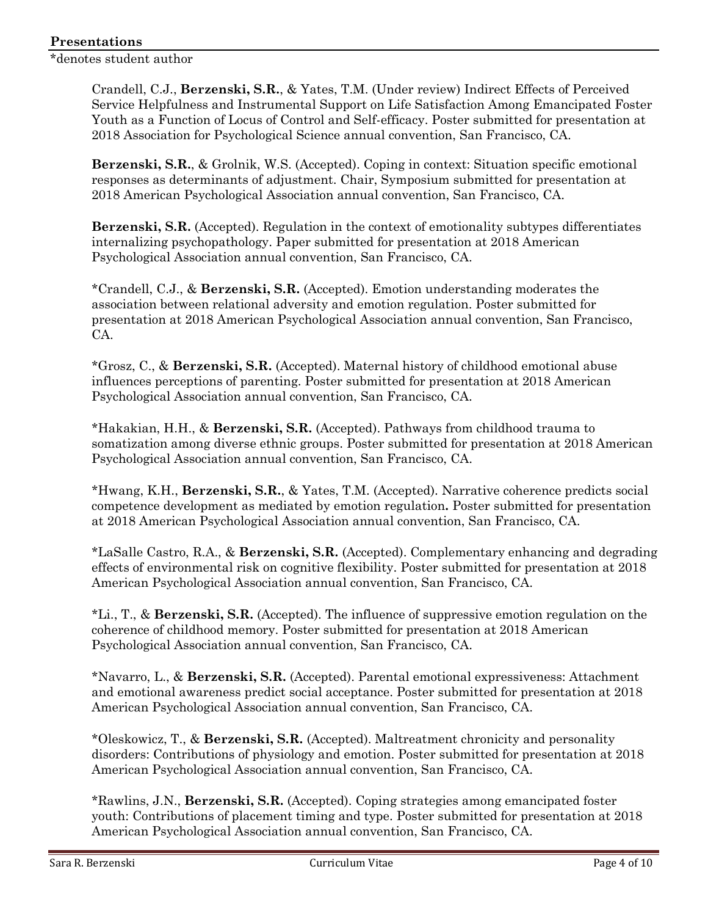\*denotes student author

Crandell, C.J., **Berzenski, S.R.**, & Yates, T.M. (Under review) Indirect Effects of Perceived Service Helpfulness and Instrumental Support on Life Satisfaction Among Emancipated Foster Youth as a Function of Locus of Control and Self-efficacy. Poster submitted for presentation at 2018 Association for Psychological Science annual convention, San Francisco, CA.

**Berzenski, S.R.**, & Grolnik, W.S. (Accepted). Coping in context: Situation specific emotional responses as determinants of adjustment. Chair, Symposium submitted for presentation at 2018 American Psychological Association annual convention, San Francisco, CA.

**Berzenski, S.R.** (Accepted). Regulation in the context of emotionality subtypes differentiates internalizing psychopathology. Paper submitted for presentation at 2018 American Psychological Association annual convention, San Francisco, CA.

\*Crandell, C.J., & **Berzenski, S.R.** (Accepted). Emotion understanding moderates the association between relational adversity and emotion regulation. Poster submitted for presentation at 2018 American Psychological Association annual convention, San Francisco, CA.

\*Grosz, C., & **Berzenski, S.R.** (Accepted). Maternal history of childhood emotional abuse influences perceptions of parenting. Poster submitted for presentation at 2018 American Psychological Association annual convention, San Francisco, CA.

\*Hakakian, H.H., & **Berzenski, S.R.** (Accepted). Pathways from childhood trauma to somatization among diverse ethnic groups. Poster submitted for presentation at 2018 American Psychological Association annual convention, San Francisco, CA.

\*Hwang, K.H., **Berzenski, S.R.**, & Yates, T.M. (Accepted). Narrative coherence predicts social competence development as mediated by emotion regulation**.** Poster submitted for presentation at 2018 American Psychological Association annual convention, San Francisco, CA.

\*LaSalle Castro, R.A., & **Berzenski, S.R.** (Accepted). Complementary enhancing and degrading effects of environmental risk on cognitive flexibility. Poster submitted for presentation at 2018 American Psychological Association annual convention, San Francisco, CA.

\*Li., T., & **Berzenski, S.R.** (Accepted). The influence of suppressive emotion regulation on the coherence of childhood memory. Poster submitted for presentation at 2018 American Psychological Association annual convention, San Francisco, CA.

\*Navarro, L., & **Berzenski, S.R.** (Accepted). Parental emotional expressiveness: Attachment and emotional awareness predict social acceptance. Poster submitted for presentation at 2018 American Psychological Association annual convention, San Francisco, CA.

\*Oleskowicz, T., & **Berzenski, S.R.** (Accepted). Maltreatment chronicity and personality disorders: Contributions of physiology and emotion. Poster submitted for presentation at 2018 American Psychological Association annual convention, San Francisco, CA.

\*Rawlins, J.N., **Berzenski, S.R.** (Accepted). Coping strategies among emancipated foster youth: Contributions of placement timing and type. Poster submitted for presentation at 2018 American Psychological Association annual convention, San Francisco, CA.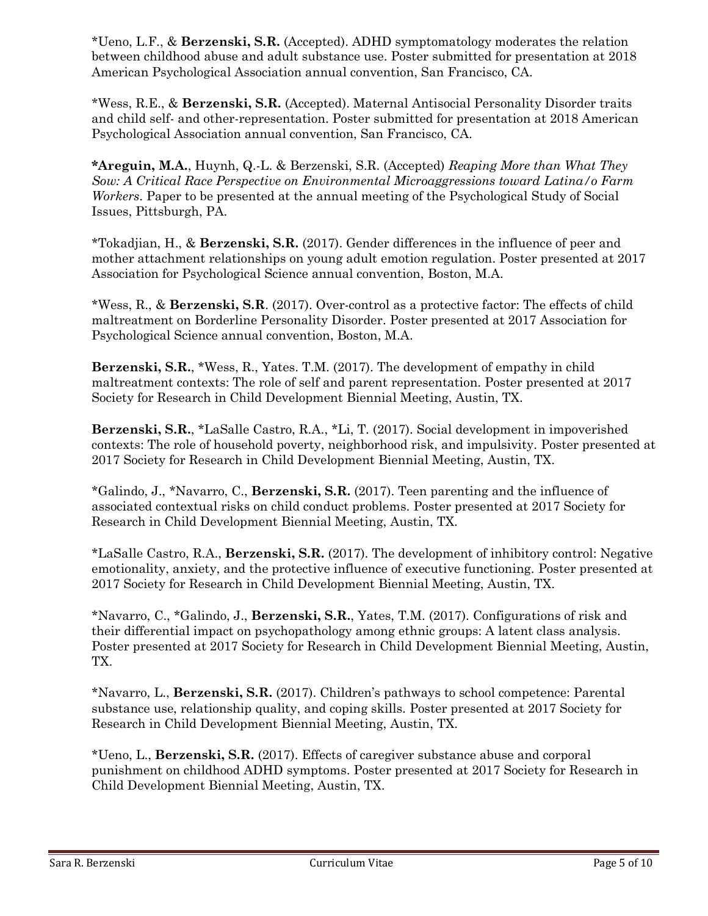\*Ueno, L.F., & **Berzenski, S.R.** (Accepted). ADHD symptomatology moderates the relation between childhood abuse and adult substance use. Poster submitted for presentation at 2018 American Psychological Association annual convention, San Francisco, CA.

\*Wess, R.E., & **Berzenski, S.R.** (Accepted). Maternal Antisocial Personality Disorder traits and child self- and other-representation. Poster submitted for presentation at 2018 American Psychological Association annual convention, San Francisco, CA.

**\*Areguin, M.A.**, Huynh, Q.-L. & Berzenski, S.R. (Accepted) *Reaping More than What They Sow: A Critical Race Perspective on Environmental Microaggressions toward Latina/o Farm Workers*. Paper to be presented at the annual meeting of the Psychological Study of Social Issues, Pittsburgh, PA.

\*Tokadjian, H., & **Berzenski, S.R.** (2017). Gender differences in the influence of peer and mother attachment relationships on young adult emotion regulation. Poster presented at 2017 Association for Psychological Science annual convention, Boston, M.A.

\*Wess, R., & **Berzenski, S.R**. (2017). Over-control as a protective factor: The effects of child maltreatment on Borderline Personality Disorder. Poster presented at 2017 Association for Psychological Science annual convention, Boston, M.A.

**Berzenski, S.R.**, \*Wess, R., Yates. T.M. (2017). The development of empathy in child maltreatment contexts: The role of self and parent representation. Poster presented at 2017 Society for Research in Child Development Biennial Meeting, Austin, TX.

**Berzenski, S.R.**, \*LaSalle Castro, R.A., \*Li, T. (2017). Social development in impoverished contexts: The role of household poverty, neighborhood risk, and impulsivity. Poster presented at 2017 Society for Research in Child Development Biennial Meeting, Austin, TX.

\*Galindo, J., \*Navarro, C., **Berzenski, S.R.** (2017). Teen parenting and the influence of associated contextual risks on child conduct problems. Poster presented at 2017 Society for Research in Child Development Biennial Meeting, Austin, TX.

\*LaSalle Castro, R.A., **Berzenski, S.R.** (2017). The development of inhibitory control: Negative emotionality, anxiety, and the protective influence of executive functioning. Poster presented at 2017 Society for Research in Child Development Biennial Meeting, Austin, TX.

\*Navarro, C., \*Galindo, J., **Berzenski, S.R.**, Yates, T.M. (2017). Configurations of risk and their differential impact on psychopathology among ethnic groups: A latent class analysis. Poster presented at 2017 Society for Research in Child Development Biennial Meeting, Austin, TX.

\*Navarro, L., **Berzenski, S.R.** (2017). Children's pathways to school competence: Parental substance use, relationship quality, and coping skills. Poster presented at 2017 Society for Research in Child Development Biennial Meeting, Austin, TX.

\*Ueno, L., **Berzenski, S.R.** (2017). Effects of caregiver substance abuse and corporal punishment on childhood ADHD symptoms. Poster presented at 2017 Society for Research in Child Development Biennial Meeting, Austin, TX.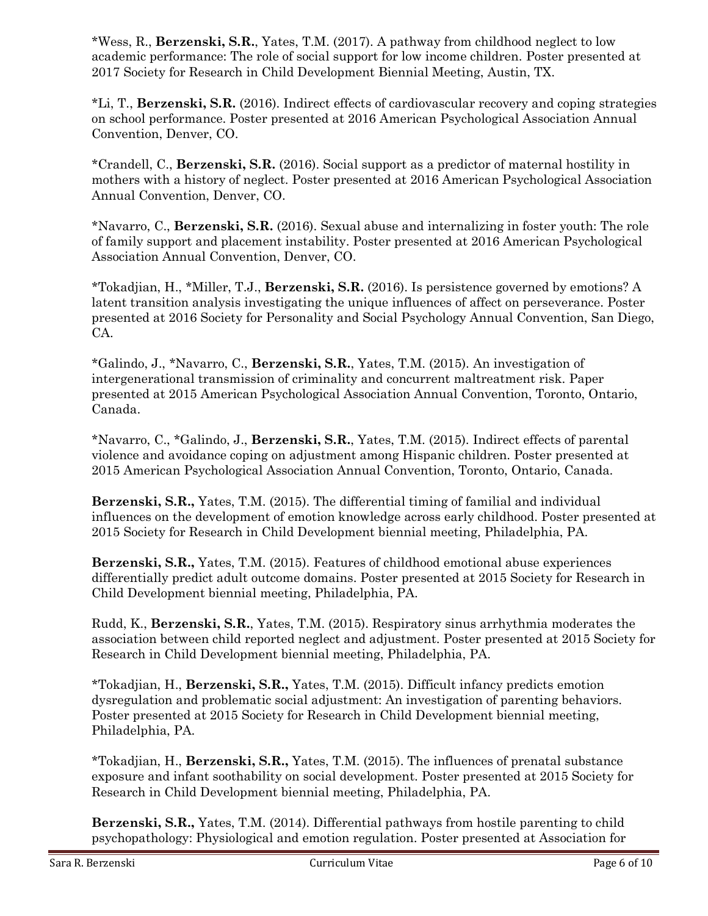\*Wess, R., **Berzenski, S.R.**, Yates, T.M. (2017). A pathway from childhood neglect to low academic performance: The role of social support for low income children. Poster presented at 2017 Society for Research in Child Development Biennial Meeting, Austin, TX.

\*Li, T., **Berzenski, S.R.** (2016). Indirect effects of cardiovascular recovery and coping strategies on school performance. Poster presented at 2016 American Psychological Association Annual Convention, Denver, CO.

\*Crandell, C., **Berzenski, S.R.** (2016). Social support as a predictor of maternal hostility in mothers with a history of neglect. Poster presented at 2016 American Psychological Association Annual Convention, Denver, CO.

\*Navarro, C., **Berzenski, S.R.** (2016). Sexual abuse and internalizing in foster youth: The role of family support and placement instability. Poster presented at 2016 American Psychological Association Annual Convention, Denver, CO.

\*Tokadjian, H., \*Miller, T.J., **Berzenski, S.R.** (2016). Is persistence governed by emotions? A latent transition analysis investigating the unique influences of affect on perseverance. Poster presented at 2016 Society for Personality and Social Psychology Annual Convention, San Diego, CA.

\*Galindo, J., \*Navarro, C., **Berzenski, S.R.**, Yates, T.M. (2015). An investigation of intergenerational transmission of criminality and concurrent maltreatment risk. Paper presented at 2015 American Psychological Association Annual Convention, Toronto, Ontario, Canada.

\*Navarro, C., \*Galindo, J., **Berzenski, S.R.**, Yates, T.M. (2015). Indirect effects of parental violence and avoidance coping on adjustment among Hispanic children. Poster presented at 2015 American Psychological Association Annual Convention, Toronto, Ontario, Canada.

**Berzenski, S.R.,** Yates, T.M. (2015). The differential timing of familial and individual influences on the development of emotion knowledge across early childhood. Poster presented at 2015 Society for Research in Child Development biennial meeting, Philadelphia, PA.

**Berzenski, S.R.,** Yates, T.M. (2015). Features of childhood emotional abuse experiences differentially predict adult outcome domains. Poster presented at 2015 Society for Research in Child Development biennial meeting, Philadelphia, PA.

Rudd, K., **Berzenski, S.R.**, Yates, T.M. (2015). Respiratory sinus arrhythmia moderates the association between child reported neglect and adjustment. Poster presented at 2015 Society for Research in Child Development biennial meeting, Philadelphia, PA.

\*Tokadjian, H., **Berzenski, S.R.,** Yates, T.M. (2015). Difficult infancy predicts emotion dysregulation and problematic social adjustment: An investigation of parenting behaviors. Poster presented at 2015 Society for Research in Child Development biennial meeting, Philadelphia, PA.

\*Tokadjian, H., **Berzenski, S.R.,** Yates, T.M. (2015). The influences of prenatal substance exposure and infant soothability on social development. Poster presented at 2015 Society for Research in Child Development biennial meeting, Philadelphia, PA.

**Berzenski, S.R.,** Yates, T.M. (2014). Differential pathways from hostile parenting to child psychopathology: Physiological and emotion regulation. Poster presented at Association for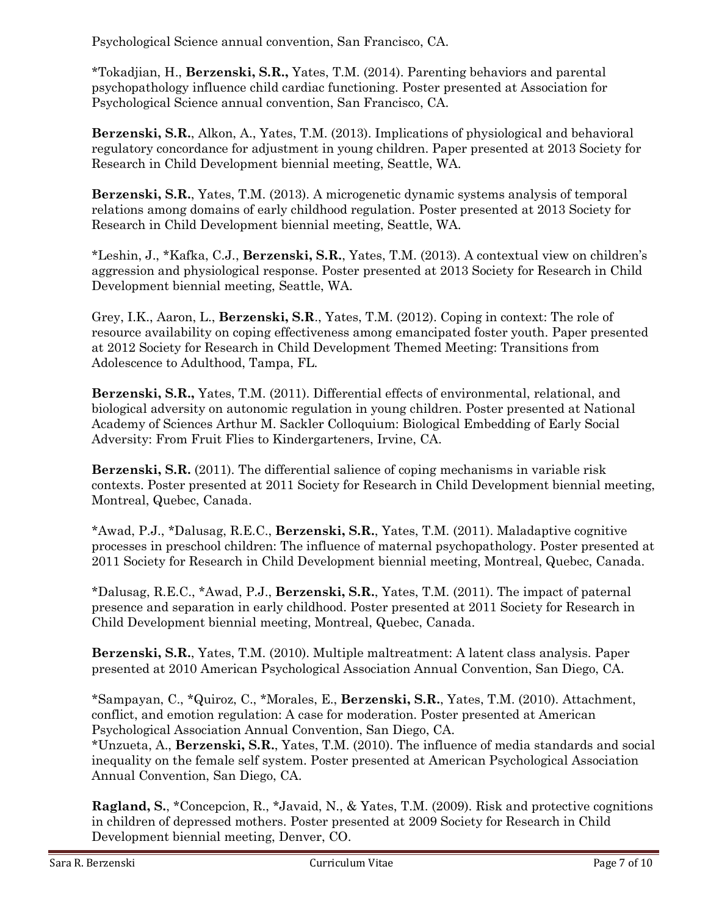Psychological Science annual convention, San Francisco, CA.

\*Tokadjian, H., **Berzenski, S.R.,** Yates, T.M. (2014). Parenting behaviors and parental psychopathology influence child cardiac functioning. Poster presented at Association for Psychological Science annual convention, San Francisco, CA.

**Berzenski, S.R.**, Alkon, A., Yates, T.M. (2013). Implications of physiological and behavioral regulatory concordance for adjustment in young children. Paper presented at 2013 Society for Research in Child Development biennial meeting, Seattle, WA.

**Berzenski, S.R.**, Yates, T.M. (2013). A microgenetic dynamic systems analysis of temporal relations among domains of early childhood regulation. Poster presented at 2013 Society for Research in Child Development biennial meeting, Seattle, WA.

\*Leshin, J., \*Kafka, C.J., **Berzenski, S.R.**, Yates, T.M. (2013). A contextual view on children's aggression and physiological response. Poster presented at 2013 Society for Research in Child Development biennial meeting, Seattle, WA.

Grey, I.K., Aaron, L., **Berzenski, S.R**., Yates, T.M. (2012). Coping in context: The role of resource availability on coping effectiveness among emancipated foster youth. Paper presented at 2012 Society for Research in Child Development Themed Meeting: Transitions from Adolescence to Adulthood, Tampa, FL.

**Berzenski, S.R.,** Yates, T.M. (2011). Differential effects of environmental, relational, and biological adversity on autonomic regulation in young children. Poster presented at National Academy of Sciences Arthur M. Sackler Colloquium: Biological Embedding of Early Social Adversity: From Fruit Flies to Kindergarteners, Irvine, CA.

**Berzenski, S.R.** (2011). The differential salience of coping mechanisms in variable risk contexts. Poster presented at 2011 Society for Research in Child Development biennial meeting, Montreal, Quebec, Canada.

\*Awad, P.J., \*Dalusag, R.E.C., **Berzenski, S.R.**, Yates, T.M. (2011). Maladaptive cognitive processes in preschool children: The influence of maternal psychopathology. Poster presented at 2011 Society for Research in Child Development biennial meeting, Montreal, Quebec, Canada.

\*Dalusag, R.E.C., \*Awad, P.J., **Berzenski, S.R.**, Yates, T.M. (2011). The impact of paternal presence and separation in early childhood. Poster presented at 2011 Society for Research in Child Development biennial meeting, Montreal, Quebec, Canada.

**Berzenski, S.R.**, Yates, T.M. (2010). Multiple maltreatment: A latent class analysis. Paper presented at 2010 American Psychological Association Annual Convention, San Diego, CA.

\*Sampayan, C., \*Quiroz, C., \*Morales, E., **Berzenski, S.R.**, Yates, T.M. (2010). Attachment, conflict, and emotion regulation: A case for moderation. Poster presented at American Psychological Association Annual Convention, San Diego, CA.

\*Unzueta, A., **Berzenski, S.R.**, Yates, T.M. (2010). The influence of media standards and social inequality on the female self system. Poster presented at American Psychological Association Annual Convention, San Diego, CA.

**Ragland, S.**, \*Concepcion, R., \*Javaid, N., & Yates, T.M. (2009). Risk and protective cognitions in children of depressed mothers. Poster presented at 2009 Society for Research in Child Development biennial meeting, Denver, CO.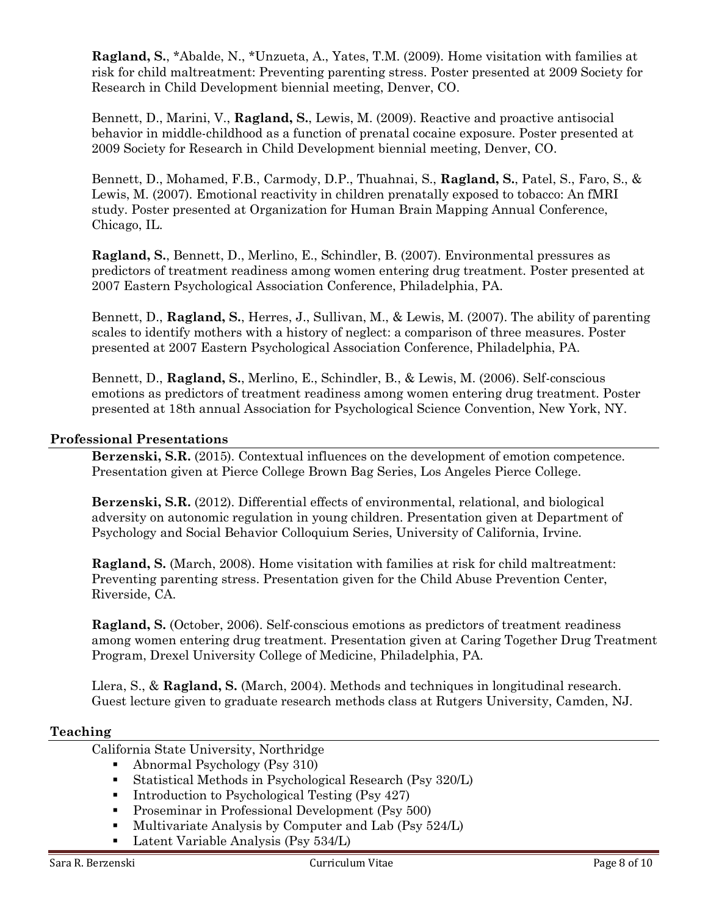**Ragland, S.**, \*Abalde, N., \*Unzueta, A., Yates, T.M. (2009). Home visitation with families at risk for child maltreatment: Preventing parenting stress. Poster presented at 2009 Society for Research in Child Development biennial meeting, Denver, CO.

Bennett, D., Marini, V., **Ragland, S.**, Lewis, M. (2009). Reactive and proactive antisocial behavior in middle-childhood as a function of prenatal cocaine exposure. Poster presented at 2009 Society for Research in Child Development biennial meeting, Denver, CO.

Bennett, D., Mohamed, F.B., Carmody, D.P., Thuahnai, S., **Ragland, S.**, Patel, S., Faro, S., & Lewis, M. (2007). Emotional reactivity in children prenatally exposed to tobacco: An fMRI study. Poster presented at Organization for Human Brain Mapping Annual Conference, Chicago, IL.

**Ragland, S.**, Bennett, D., Merlino, E., Schindler, B. (2007). Environmental pressures as predictors of treatment readiness among women entering drug treatment. Poster presented at 2007 Eastern Psychological Association Conference, Philadelphia, PA.

Bennett, D., **Ragland, S.**, Herres, J., Sullivan, M., & Lewis, M. (2007). The ability of parenting scales to identify mothers with a history of neglect: a comparison of three measures. Poster presented at 2007 Eastern Psychological Association Conference, Philadelphia, PA.

Bennett, D., **Ragland, S.**, Merlino, E., Schindler, B., & Lewis, M. (2006). Self-conscious emotions as predictors of treatment readiness among women entering drug treatment. Poster presented at 18th annual Association for Psychological Science Convention, New York, NY.

# **Professional Presentations**

**Berzenski, S.R.** (2015). Contextual influences on the development of emotion competence. Presentation given at Pierce College Brown Bag Series, Los Angeles Pierce College.

**Berzenski, S.R.** (2012). Differential effects of environmental, relational, and biological adversity on autonomic regulation in young children. Presentation given at Department of Psychology and Social Behavior Colloquium Series, University of California, Irvine.

**Ragland, S.** (March, 2008). Home visitation with families at risk for child maltreatment: Preventing parenting stress. Presentation given for the Child Abuse Prevention Center, Riverside, CA.

**Ragland, S.** (October, 2006). Self-conscious emotions as predictors of treatment readiness among women entering drug treatment. Presentation given at Caring Together Drug Treatment Program, Drexel University College of Medicine, Philadelphia, PA.

Llera, S., & **Ragland, S.** (March, 2004). Methods and techniques in longitudinal research. Guest lecture given to graduate research methods class at Rutgers University, Camden, NJ.

#### **Teaching**

California State University, Northridge

- Abnormal Psychology (Psy 310)
- Statistical Methods in Psychological Research (Psy 320/L)
- Introduction to Psychological Testing (Psy 427)
- Proseminar in Professional Development (Psy 500)
- Multivariate Analysis by Computer and Lab (Psy 524/L)
- Latent Variable Analysis (Psy 534/L)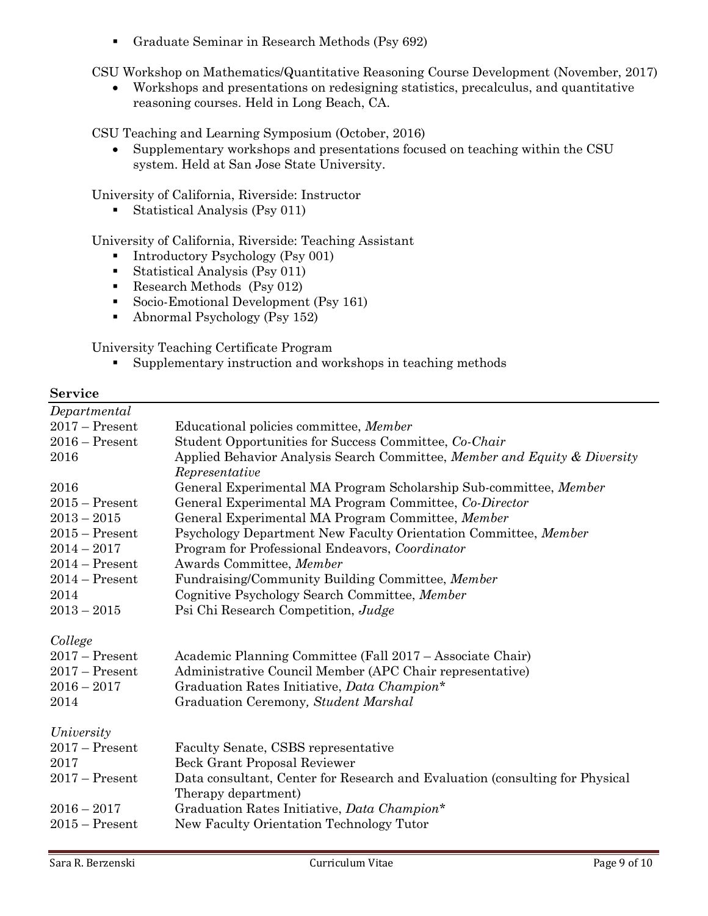▪ Graduate Seminar in Research Methods (Psy 692)

CSU Workshop on Mathematics/Quantitative Reasoning Course Development (November, 2017)

• Workshops and presentations on redesigning statistics, precalculus, and quantitative reasoning courses. Held in Long Beach, CA.

CSU Teaching and Learning Symposium (October, 2016)

• Supplementary workshops and presentations focused on teaching within the CSU system. Held at San Jose State University.

University of California, Riverside: Instructor

■ Statistical Analysis (Psy 011)

University of California, Riverside: Teaching Assistant

- Introductory Psychology (Psy 001)
- Statistical Analysis (Psy 011)
- Research Methods (Psy 012)
- Socio-Emotional Development (Psy 161)
- Abnormal Psychology (Psy 152)

University Teaching Certificate Program

■ Supplementary instruction and workshops in teaching methods

# **Service**

| Departmental     |                                                                              |
|------------------|------------------------------------------------------------------------------|
| $2017$ – Present | Educational policies committee, Member                                       |
| $2016$ – Present | Student Opportunities for Success Committee, Co-Chair                        |
| 2016             | Applied Behavior Analysis Search Committee, Member and Equity & Diversity    |
|                  | Representative                                                               |
| 2016             | General Experimental MA Program Scholarship Sub-committee, Member            |
| $2015$ – Present | General Experimental MA Program Committee, Co-Director                       |
| $2013 - 2015$    | General Experimental MA Program Committee, Member                            |
| $2015$ – Present | Psychology Department New Faculty Orientation Committee, Member              |
| $2014 - 2017$    | Program for Professional Endeavors, Coordinator                              |
| $2014 -$ Present | Awards Committee, Member                                                     |
| $2014 -$ Present | Fundraising/Community Building Committee, Member                             |
| 2014             | Cognitive Psychology Search Committee, Member                                |
| $2013 - 2015$    | Psi Chi Research Competition, Judge                                          |
|                  |                                                                              |
| College          |                                                                              |
| $2017$ – Present | Academic Planning Committee (Fall 2017 – Associate Chair)                    |
| $2017$ – Present | Administrative Council Member (APC Chair representative)                     |
| $2016 - 2017$    | Graduation Rates Initiative, Data Champion*                                  |
| 2014             | Graduation Ceremony, Student Marshal                                         |
|                  |                                                                              |
| University       |                                                                              |
| $2017$ – Present | Faculty Senate, CSBS representative                                          |
| 2017             | Beck Grant Proposal Reviewer                                                 |
| $2017 -$ Present | Data consultant, Center for Research and Evaluation (consulting for Physical |
|                  | Therapy department)                                                          |
| $2016 - 2017$    | Graduation Rates Initiative, Data Champion*                                  |
| $2015$ – Present | New Faculty Orientation Technology Tutor                                     |
|                  |                                                                              |